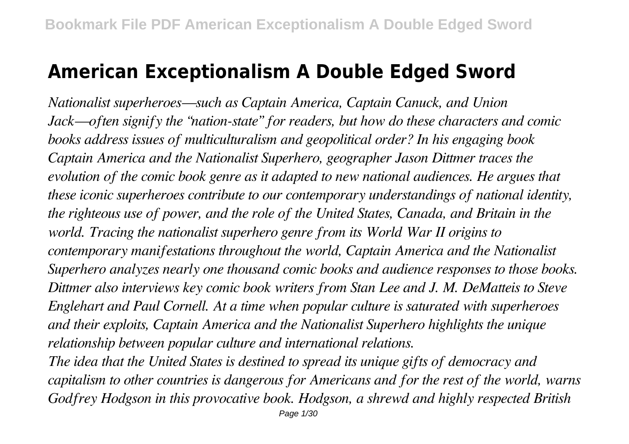# **American Exceptionalism A Double Edged Sword**

*Nationalist superheroes—such as Captain America, Captain Canuck, and Union Jack—often signify the "nation-state" for readers, but how do these characters and comic books address issues of multiculturalism and geopolitical order? In his engaging book Captain America and the Nationalist Superhero, geographer Jason Dittmer traces the evolution of the comic book genre as it adapted to new national audiences. He argues that these iconic superheroes contribute to our contemporary understandings of national identity, the righteous use of power, and the role of the United States, Canada, and Britain in the world. Tracing the nationalist superhero genre from its World War II origins to contemporary manifestations throughout the world, Captain America and the Nationalist Superhero analyzes nearly one thousand comic books and audience responses to those books. Dittmer also interviews key comic book writers from Stan Lee and J. M. DeMatteis to Steve Englehart and Paul Cornell. At a time when popular culture is saturated with superheroes and their exploits, Captain America and the Nationalist Superhero highlights the unique relationship between popular culture and international relations.*

*The idea that the United States is destined to spread its unique gifts of democracy and capitalism to other countries is dangerous for Americans and for the rest of the world, warns Godfrey Hodgson in this provocative book. Hodgson, a shrewd and highly respected British*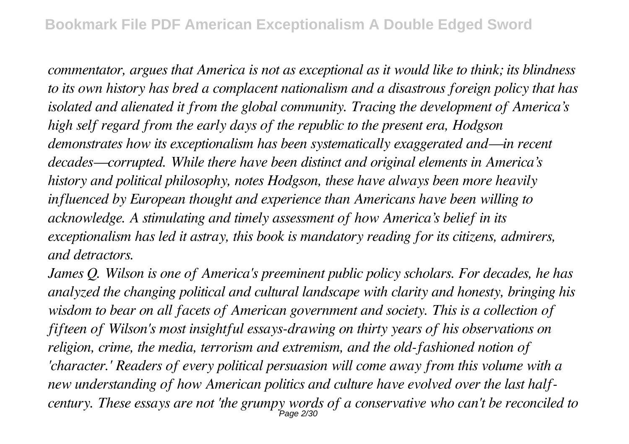*commentator, argues that America is not as exceptional as it would like to think; its blindness to its own history has bred a complacent nationalism and a disastrous foreign policy that has isolated and alienated it from the global community. Tracing the development of America's high self regard from the early days of the republic to the present era, Hodgson demonstrates how its exceptionalism has been systematically exaggerated and—in recent decades—corrupted. While there have been distinct and original elements in America's history and political philosophy, notes Hodgson, these have always been more heavily influenced by European thought and experience than Americans have been willing to acknowledge. A stimulating and timely assessment of how America's belief in its exceptionalism has led it astray, this book is mandatory reading for its citizens, admirers, and detractors.*

*James Q. Wilson is one of America's preeminent public policy scholars. For decades, he has analyzed the changing political and cultural landscape with clarity and honesty, bringing his wisdom to bear on all facets of American government and society. This is a collection of fifteen of Wilson's most insightful essays-drawing on thirty years of his observations on religion, crime, the media, terrorism and extremism, and the old-fashioned notion of 'character.' Readers of every political persuasion will come away from this volume with a new understanding of how American politics and culture have evolved over the last halfcentury. These essays are not 'the grumpy words of a conservative who can't be reconciled to* Page 2/30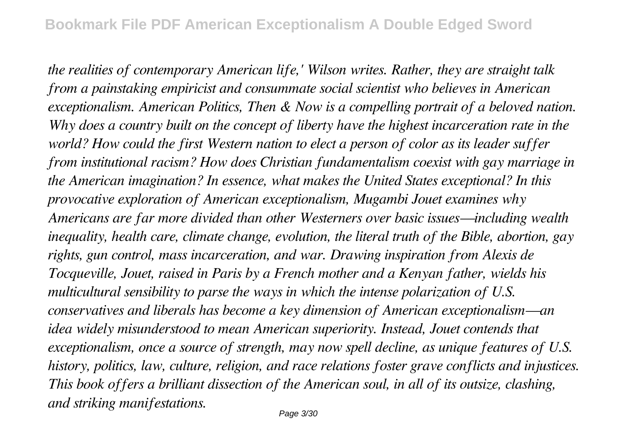*the realities of contemporary American life,' Wilson writes. Rather, they are straight talk from a painstaking empiricist and consummate social scientist who believes in American exceptionalism. American Politics, Then & Now is a compelling portrait of a beloved nation. Why does a country built on the concept of liberty have the highest incarceration rate in the world? How could the first Western nation to elect a person of color as its leader suffer from institutional racism? How does Christian fundamentalism coexist with gay marriage in the American imagination? In essence, what makes the United States exceptional? In this provocative exploration of American exceptionalism, Mugambi Jouet examines why Americans are far more divided than other Westerners over basic issues—including wealth inequality, health care, climate change, evolution, the literal truth of the Bible, abortion, gay rights, gun control, mass incarceration, and war. Drawing inspiration from Alexis de Tocqueville, Jouet, raised in Paris by a French mother and a Kenyan father, wields his multicultural sensibility to parse the ways in which the intense polarization of U.S. conservatives and liberals has become a key dimension of American exceptionalism—an idea widely misunderstood to mean American superiority. Instead, Jouet contends that exceptionalism, once a source of strength, may now spell decline, as unique features of U.S. history, politics, law, culture, religion, and race relations foster grave conflicts and injustices. This book offers a brilliant dissection of the American soul, in all of its outsize, clashing, and striking manifestations.*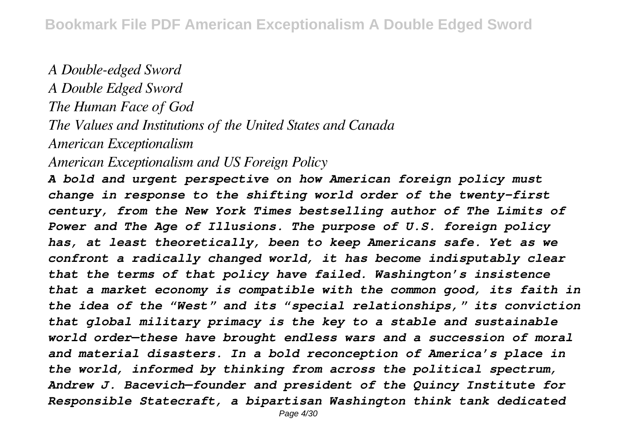*A Double-edged Sword A Double Edged Sword The Human Face of God The Values and Institutions of the United States and Canada American Exceptionalism*

*American Exceptionalism and US Foreign Policy*

*A bold and urgent perspective on how American foreign policy must change in response to the shifting world order of the twenty-first century, from the New York Times bestselling author of The Limits of Power and The Age of Illusions. The purpose of U.S. foreign policy has, at least theoretically, been to keep Americans safe. Yet as we confront a radically changed world, it has become indisputably clear that the terms of that policy have failed. Washington's insistence that a market economy is compatible with the common good, its faith in the idea of the "West" and its "special relationships," its conviction that global military primacy is the key to a stable and sustainable world order—these have brought endless wars and a succession of moral and material disasters. In a bold reconception of America's place in the world, informed by thinking from across the political spectrum, Andrew J. Bacevich—founder and president of the Quincy Institute for Responsible Statecraft, a bipartisan Washington think tank dedicated*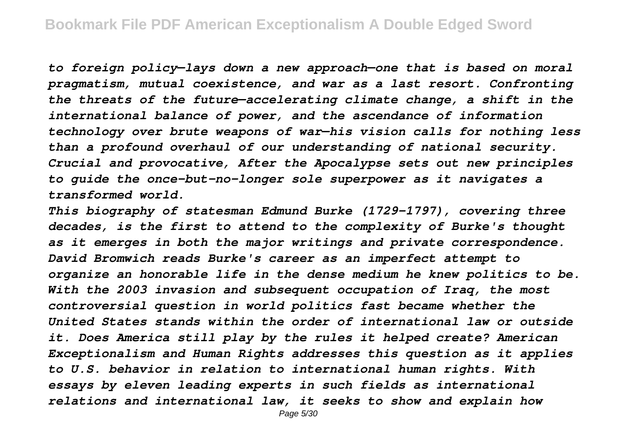*to foreign policy—lays down a new approach—one that is based on moral pragmatism, mutual coexistence, and war as a last resort. Confronting the threats of the future—accelerating climate change, a shift in the international balance of power, and the ascendance of information technology over brute weapons of war—his vision calls for nothing less than a profound overhaul of our understanding of national security. Crucial and provocative, After the Apocalypse sets out new principles to guide the once-but-no-longer sole superpower as it navigates a transformed world.*

*This biography of statesman Edmund Burke (1729-1797), covering three decades, is the first to attend to the complexity of Burke's thought as it emerges in both the major writings and private correspondence. David Bromwich reads Burke's career as an imperfect attempt to organize an honorable life in the dense medium he knew politics to be. With the 2003 invasion and subsequent occupation of Iraq, the most controversial question in world politics fast became whether the United States stands within the order of international law or outside it. Does America still play by the rules it helped create? American Exceptionalism and Human Rights addresses this question as it applies to U.S. behavior in relation to international human rights. With essays by eleven leading experts in such fields as international relations and international law, it seeks to show and explain how*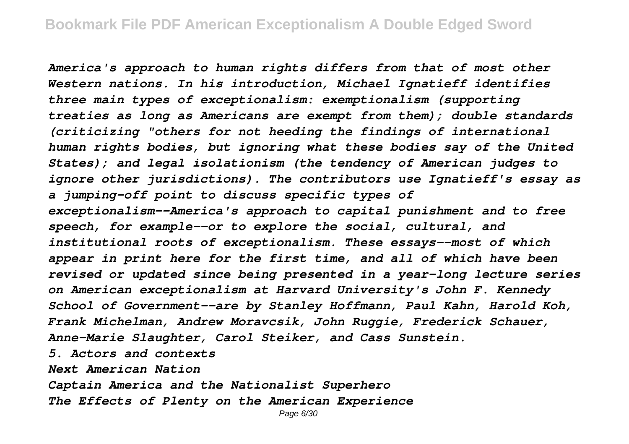*America's approach to human rights differs from that of most other Western nations. In his introduction, Michael Ignatieff identifies three main types of exceptionalism: exemptionalism (supporting treaties as long as Americans are exempt from them); double standards (criticizing "others for not heeding the findings of international human rights bodies, but ignoring what these bodies say of the United States); and legal isolationism (the tendency of American judges to ignore other jurisdictions). The contributors use Ignatieff's essay as a jumping-off point to discuss specific types of exceptionalism--America's approach to capital punishment and to free speech, for example--or to explore the social, cultural, and institutional roots of exceptionalism. These essays--most of which appear in print here for the first time, and all of which have been revised or updated since being presented in a year-long lecture series on American exceptionalism at Harvard University's John F. Kennedy School of Government--are by Stanley Hoffmann, Paul Kahn, Harold Koh, Frank Michelman, Andrew Moravcsik, John Ruggie, Frederick Schauer, Anne-Marie Slaughter, Carol Steiker, and Cass Sunstein. 5. Actors and contexts*

*Next American Nation*

*Captain America and the Nationalist Superhero The Effects of Plenty on the American Experience*

Page 6/30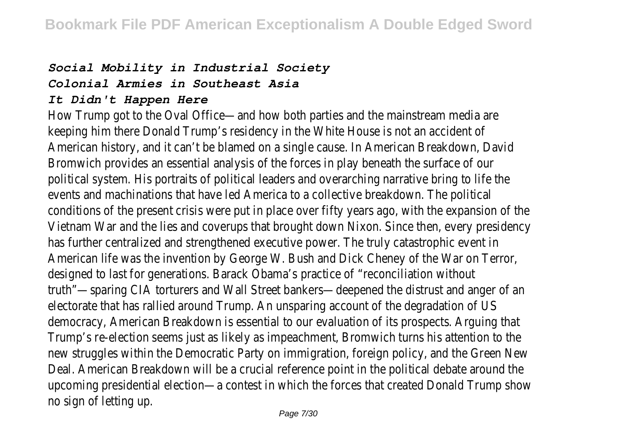### *Social Mobility in Industrial Society*

#### *Colonial Armies in Southeast Asia*

#### *It Didn't Happen Here*

How Trump got to the Oval Office—and how both parties and the mainstream media are keeping him there Donald Trump's residency in the White House is not an accident of American history, and it can't be blamed on a single cause. In American Breakdown, David Bromwich provides an essential analysis of the forces in play beneath the surface of our political system. His portraits of political leaders and overarching narrative bring to life the events and machinations that have led America to a collective breakdown. The political conditions of the present crisis were put in place over fifty years ago, with the expansion of the Vietnam War and the lies and coverups that brought down Nixon. Since then, every presidency has further centralized and strengthened executive power. The truly catastrophic event in American life was the invention by George W. Bush and Dick Cheney of the War on Terror, designed to last for generations. Barack Obama's practice of "reconciliation without truth"—sparing CIA torturers and Wall Street bankers—deepened the distrust and anger of an electorate that has rallied around Trump. An unsparing account of the degradation of US democracy, American Breakdown is essential to our evaluation of its prospects. Arguing that Trump's re-election seems just as likely as impeachment, Bromwich turns his attention to the new struggles within the Democratic Party on immigration, foreign policy, and the Green New Deal. American Breakdown will be a crucial reference point in the political debate around the upcoming presidential election—a contest in which the forces that created Donald Trump show no sign of letting up.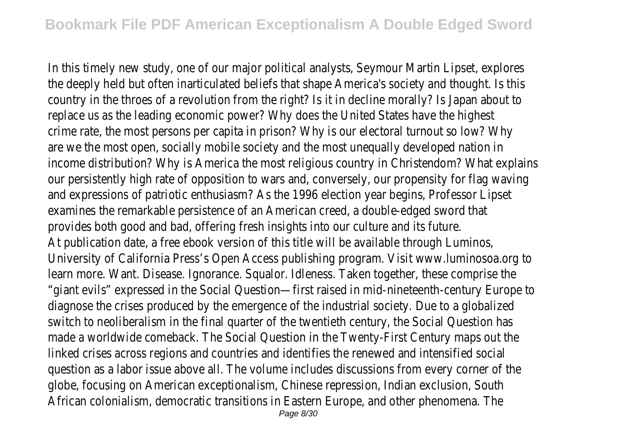In this timely new study, one of our major political analysts, Seymour Martin Lipset, explores the deeply held but often inarticulated beliefs that shape America's society and thought. Is this country in the throes of a revolution from the right? Is it in decline morally? Is Japan about to replace us as the leading economic power? Why does the United States have the highest crime rate, the most persons per capita in prison? Why is our electoral turnout so low? Why are we the most open, socially mobile society and the most unequally developed nation in income distribution? Why is America the most religious country in Christendom? What explains our persistently high rate of opposition to wars and, conversely, our propensity for flag waving and expressions of patriotic enthusiasm? As the 1996 election year begins, Professor Lipset examines the remarkable persistence of an American creed, a double-edged sword that provides both good and bad, offering fresh insights into our culture and its future. At publication date, a free ebook version of this title will be available through Luminos, University of California Press's Open Access publishing program. Visit www.luminosoa.org to learn more. Want. Disease. Ignorance. Squalor. Idleness. Taken together, these comprise the "giant evils" expressed in the Social Question—first raised in mid-nineteenth-century Europe to diagnose the crises produced by the emergence of the industrial society. Due to a globalized switch to neoliberalism in the final quarter of the twentieth century, the Social Question has made a worldwide comeback. The Social Question in the Twenty-First Century maps out the linked crises across regions and countries and identifies the renewed and intensified social question as a labor issue above all. The volume includes discussions from every corner of the globe, focusing on American exceptionalism, Chinese repression, Indian exclusion, South African colonialism, democratic transitions in Eastern Europe, and other phenomena. The Page 8/30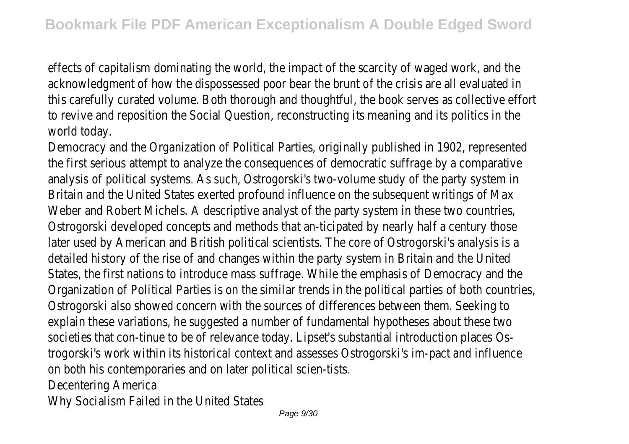effects of capitalism dominating the world, the impact of the scarcity of waged work, and the acknowledgment of how the dispossessed poor bear the brunt of the crisis are all evaluated in this carefully curated volume. Both thorough and thoughtful, the book serves as collective effort to revive and reposition the Social Question, reconstructing its meaning and its politics in the world today.

Democracy and the Organization of Political Parties, originally published in 1902, represented the first serious attempt to analyze the consequences of democratic suffrage by a comparative analysis of political systems. As such, Ostrogorski's two-volume study of the party system in Britain and the United States exerted profound influence on the subsequent writings of Max Weber and Robert Michels. A descriptive analyst of the party system in these two countries, Ostrogorski developed concepts and methods that an-ticipated by nearly half a century those later used by American and British political scientists. The core of Ostrogorski's analysis is a detailed history of the rise of and changes within the party system in Britain and the United States, the first nations to introduce mass suffrage. While the emphasis of Democracy and the Organization of Political Parties is on the similar trends in the political parties of both countries, Ostrogorski also showed concern with the sources of differences between them. Seeking to explain these variations, he suggested a number of fundamental hypotheses about these two societies that con-tinue to be of relevance today. Lipset's substantial introduction places Ostrogorski's work within its historical context and assesses Ostrogorski's im-pact and influence on both his contemporaries and on later political scien-tists. Decentering America

Why Socialism Failed in the United States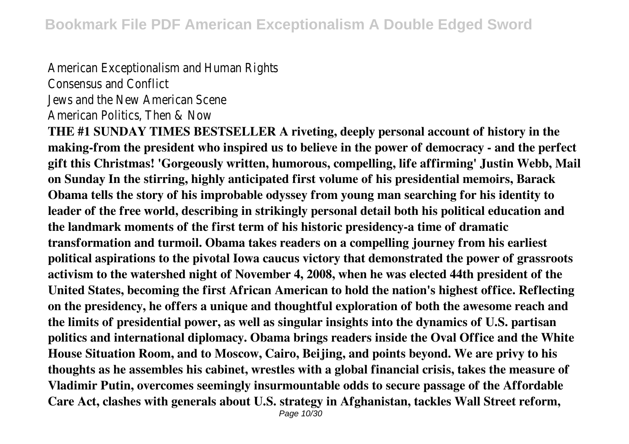#### American Exceptionalism and Human Rights Consensus and Conflict

Jews and the New American Scene

American Politics, Then & Now

**THE #1 SUNDAY TIMES BESTSELLER A riveting, deeply personal account of history in the making-from the president who inspired us to believe in the power of democracy - and the perfect gift this Christmas! 'Gorgeously written, humorous, compelling, life affirming' Justin Webb, Mail on Sunday In the stirring, highly anticipated first volume of his presidential memoirs, Barack Obama tells the story of his improbable odyssey from young man searching for his identity to leader of the free world, describing in strikingly personal detail both his political education and the landmark moments of the first term of his historic presidency-a time of dramatic transformation and turmoil. Obama takes readers on a compelling journey from his earliest political aspirations to the pivotal Iowa caucus victory that demonstrated the power of grassroots activism to the watershed night of November 4, 2008, when he was elected 44th president of the United States, becoming the first African American to hold the nation's highest office. Reflecting on the presidency, he offers a unique and thoughtful exploration of both the awesome reach and the limits of presidential power, as well as singular insights into the dynamics of U.S. partisan politics and international diplomacy. Obama brings readers inside the Oval Office and the White House Situation Room, and to Moscow, Cairo, Beijing, and points beyond. We are privy to his thoughts as he assembles his cabinet, wrestles with a global financial crisis, takes the measure of Vladimir Putin, overcomes seemingly insurmountable odds to secure passage of the Affordable Care Act, clashes with generals about U.S. strategy in Afghanistan, tackles Wall Street reform,**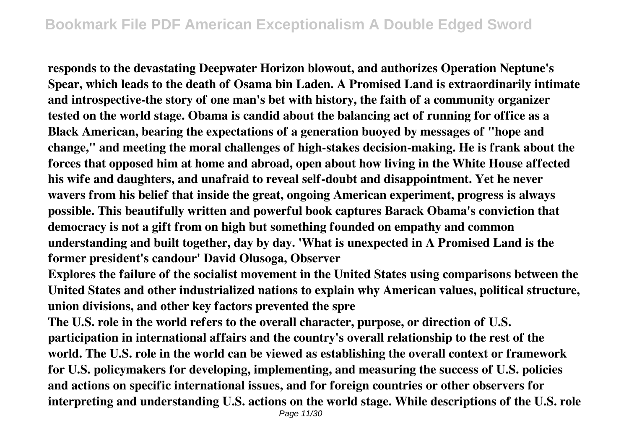**responds to the devastating Deepwater Horizon blowout, and authorizes Operation Neptune's Spear, which leads to the death of Osama bin Laden. A Promised Land is extraordinarily intimate and introspective-the story of one man's bet with history, the faith of a community organizer tested on the world stage. Obama is candid about the balancing act of running for office as a Black American, bearing the expectations of a generation buoyed by messages of "hope and change," and meeting the moral challenges of high-stakes decision-making. He is frank about the forces that opposed him at home and abroad, open about how living in the White House affected his wife and daughters, and unafraid to reveal self-doubt and disappointment. Yet he never wavers from his belief that inside the great, ongoing American experiment, progress is always possible. This beautifully written and powerful book captures Barack Obama's conviction that democracy is not a gift from on high but something founded on empathy and common understanding and built together, day by day. 'What is unexpected in A Promised Land is the former president's candour' David Olusoga, Observer**

**Explores the failure of the socialist movement in the United States using comparisons between the United States and other industrialized nations to explain why American values, political structure, union divisions, and other key factors prevented the spre**

**The U.S. role in the world refers to the overall character, purpose, or direction of U.S. participation in international affairs and the country's overall relationship to the rest of the world. The U.S. role in the world can be viewed as establishing the overall context or framework for U.S. policymakers for developing, implementing, and measuring the success of U.S. policies and actions on specific international issues, and for foreign countries or other observers for interpreting and understanding U.S. actions on the world stage. While descriptions of the U.S. role**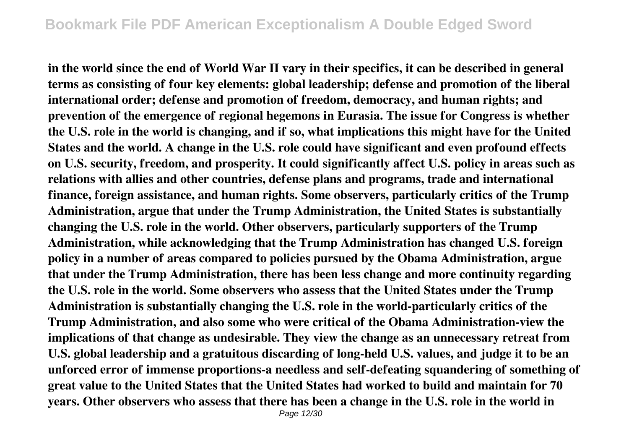**in the world since the end of World War II vary in their specifics, it can be described in general terms as consisting of four key elements: global leadership; defense and promotion of the liberal international order; defense and promotion of freedom, democracy, and human rights; and prevention of the emergence of regional hegemons in Eurasia. The issue for Congress is whether the U.S. role in the world is changing, and if so, what implications this might have for the United States and the world. A change in the U.S. role could have significant and even profound effects on U.S. security, freedom, and prosperity. It could significantly affect U.S. policy in areas such as relations with allies and other countries, defense plans and programs, trade and international finance, foreign assistance, and human rights. Some observers, particularly critics of the Trump Administration, argue that under the Trump Administration, the United States is substantially changing the U.S. role in the world. Other observers, particularly supporters of the Trump Administration, while acknowledging that the Trump Administration has changed U.S. foreign policy in a number of areas compared to policies pursued by the Obama Administration, argue that under the Trump Administration, there has been less change and more continuity regarding the U.S. role in the world. Some observers who assess that the United States under the Trump Administration is substantially changing the U.S. role in the world-particularly critics of the Trump Administration, and also some who were critical of the Obama Administration-view the implications of that change as undesirable. They view the change as an unnecessary retreat from U.S. global leadership and a gratuitous discarding of long-held U.S. values, and judge it to be an unforced error of immense proportions-a needless and self-defeating squandering of something of great value to the United States that the United States had worked to build and maintain for 70 years. Other observers who assess that there has been a change in the U.S. role in the world in**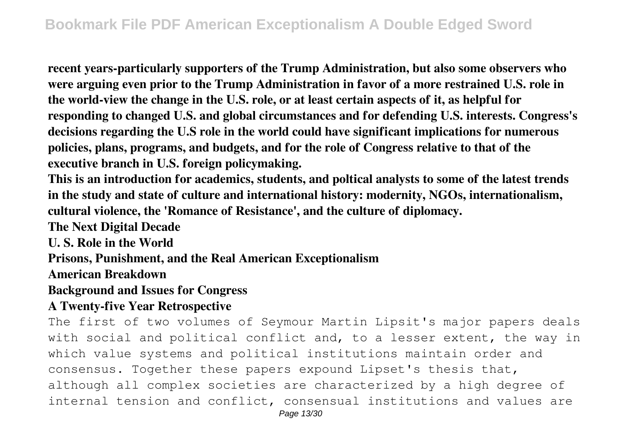**recent years-particularly supporters of the Trump Administration, but also some observers who were arguing even prior to the Trump Administration in favor of a more restrained U.S. role in the world-view the change in the U.S. role, or at least certain aspects of it, as helpful for responding to changed U.S. and global circumstances and for defending U.S. interests. Congress's decisions regarding the U.S role in the world could have significant implications for numerous policies, plans, programs, and budgets, and for the role of Congress relative to that of the executive branch in U.S. foreign policymaking.**

**This is an introduction for academics, students, and poltical analysts to some of the latest trends in the study and state of culture and international history: modernity, NGOs, internationalism, cultural violence, the 'Romance of Resistance', and the culture of diplomacy.**

**The Next Digital Decade**

**U. S. Role in the World**

**Prisons, Punishment, and the Real American Exceptionalism**

**American Breakdown**

#### **Background and Issues for Congress**

#### **A Twenty-five Year Retrospective**

The first of two volumes of Seymour Martin Lipsit's major papers deals with social and political conflict and, to a lesser extent, the way in which value systems and political institutions maintain order and consensus. Together these papers expound Lipset's thesis that, although all complex societies are characterized by a high degree of internal tension and conflict, consensual institutions and values are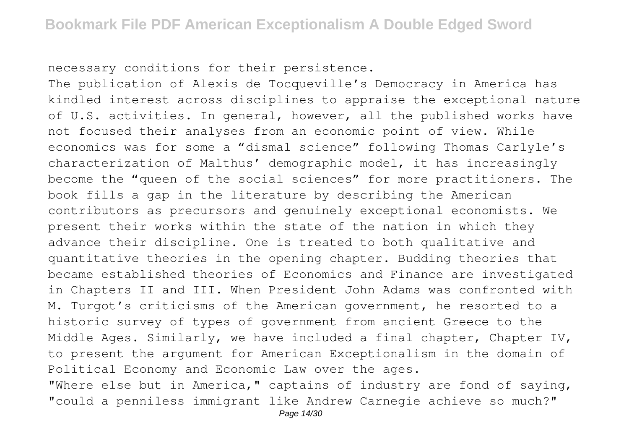necessary conditions for their persistence.

The publication of Alexis de Tocqueville's Democracy in America has kindled interest across disciplines to appraise the exceptional nature of U.S. activities. In general, however, all the published works have not focused their analyses from an economic point of view. While economics was for some a "dismal science" following Thomas Carlyle's characterization of Malthus' demographic model, it has increasingly become the "queen of the social sciences" for more practitioners. The book fills a gap in the literature by describing the American contributors as precursors and genuinely exceptional economists. We present their works within the state of the nation in which they advance their discipline. One is treated to both qualitative and quantitative theories in the opening chapter. Budding theories that became established theories of Economics and Finance are investigated in Chapters II and III. When President John Adams was confronted with M. Turgot's criticisms of the American government, he resorted to a historic survey of types of government from ancient Greece to the Middle Ages. Similarly, we have included a final chapter, Chapter IV, to present the argument for American Exceptionalism in the domain of Political Economy and Economic Law over the ages.

"Where else but in America," captains of industry are fond of saying, "could a penniless immigrant like Andrew Carnegie achieve so much?"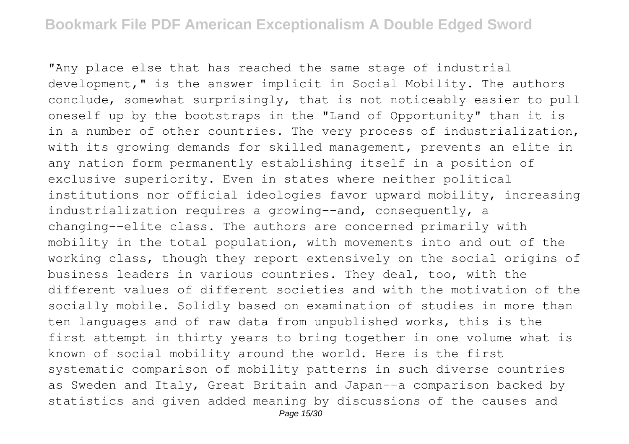"Any place else that has reached the same stage of industrial development," is the answer implicit in Social Mobility. The authors conclude, somewhat surprisingly, that is not noticeably easier to pull oneself up by the bootstraps in the "Land of Opportunity" than it is in a number of other countries. The very process of industrialization, with its growing demands for skilled management, prevents an elite in any nation form permanently establishing itself in a position of exclusive superiority. Even in states where neither political institutions nor official ideologies favor upward mobility, increasing industrialization requires a growing--and, consequently, a changing--elite class. The authors are concerned primarily with mobility in the total population, with movements into and out of the working class, though they report extensively on the social origins of business leaders in various countries. They deal, too, with the different values of different societies and with the motivation of the socially mobile. Solidly based on examination of studies in more than ten languages and of raw data from unpublished works, this is the first attempt in thirty years to bring together in one volume what is known of social mobility around the world. Here is the first systematic comparison of mobility patterns in such diverse countries as Sweden and Italy, Great Britain and Japan--a comparison backed by statistics and given added meaning by discussions of the causes and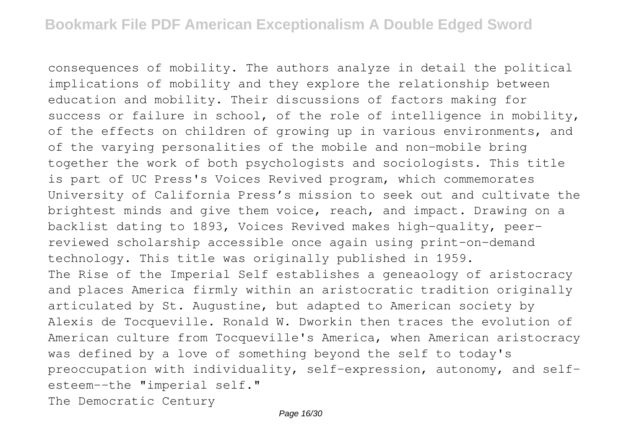consequences of mobility. The authors analyze in detail the political implications of mobility and they explore the relationship between education and mobility. Their discussions of factors making for success or failure in school, of the role of intelligence in mobility, of the effects on children of growing up in various environments, and of the varying personalities of the mobile and non-mobile bring together the work of both psychologists and sociologists. This title is part of UC Press's Voices Revived program, which commemorates University of California Press's mission to seek out and cultivate the brightest minds and give them voice, reach, and impact. Drawing on a backlist dating to 1893, Voices Revived makes high-quality, peerreviewed scholarship accessible once again using print-on-demand technology. This title was originally published in 1959. The Rise of the Imperial Self establishes a geneaology of aristocracy and places America firmly within an aristocratic tradition originally articulated by St. Augustine, but adapted to American society by Alexis de Tocqueville. Ronald W. Dworkin then traces the evolution of American culture from Tocqueville's America, when American aristocracy was defined by a love of something beyond the self to today's preoccupation with individuality, self-expression, autonomy, and selfesteem--the "imperial self."

The Democratic Century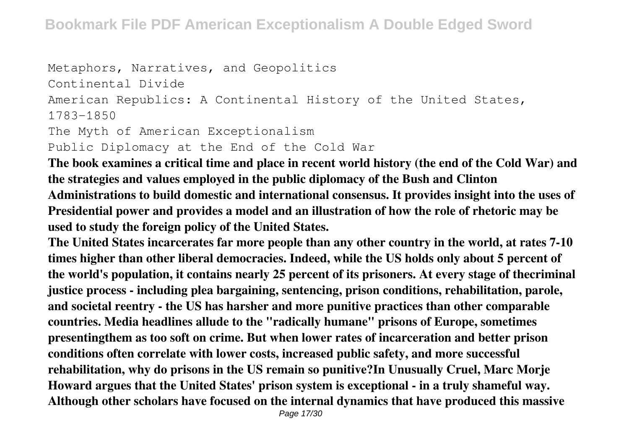```
Metaphors, Narratives, and Geopolitics
Continental Divide
American Republics: A Continental History of the United States,
1783-1850
The Myth of American Exceptionalism
Public Diplomacy at the End of the Cold War
```
**The book examines a critical time and place in recent world history (the end of the Cold War) and the strategies and values employed in the public diplomacy of the Bush and Clinton Administrations to build domestic and international consensus. It provides insight into the uses of Presidential power and provides a model and an illustration of how the role of rhetoric may be used to study the foreign policy of the United States.**

**The United States incarcerates far more people than any other country in the world, at rates 7-10 times higher than other liberal democracies. Indeed, while the US holds only about 5 percent of the world's population, it contains nearly 25 percent of its prisoners. At every stage of thecriminal justice process - including plea bargaining, sentencing, prison conditions, rehabilitation, parole, and societal reentry - the US has harsher and more punitive practices than other comparable countries. Media headlines allude to the "radically humane" prisons of Europe, sometimes presentingthem as too soft on crime. But when lower rates of incarceration and better prison conditions often correlate with lower costs, increased public safety, and more successful rehabilitation, why do prisons in the US remain so punitive?In Unusually Cruel, Marc Morje Howard argues that the United States' prison system is exceptional - in a truly shameful way. Although other scholars have focused on the internal dynamics that have produced this massive**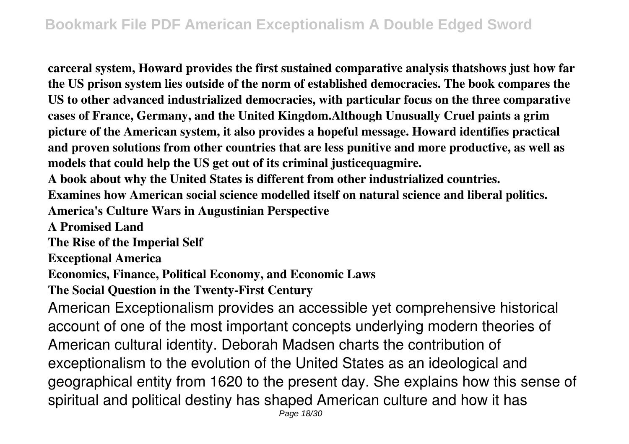**carceral system, Howard provides the first sustained comparative analysis thatshows just how far the US prison system lies outside of the norm of established democracies. The book compares the US to other advanced industrialized democracies, with particular focus on the three comparative cases of France, Germany, and the United Kingdom.Although Unusually Cruel paints a grim picture of the American system, it also provides a hopeful message. Howard identifies practical and proven solutions from other countries that are less punitive and more productive, as well as models that could help the US get out of its criminal justicequagmire.**

**A book about why the United States is different from other industrialized countries.**

**Examines how American social science modelled itself on natural science and liberal politics.**

**America's Culture Wars in Augustinian Perspective**

**A Promised Land**

**The Rise of the Imperial Self**

**Exceptional America**

**Economics, Finance, Political Economy, and Economic Laws**

**The Social Question in the Twenty-First Century**

American Exceptionalism provides an accessible yet comprehensive historical account of one of the most important concepts underlying modern theories of American cultural identity. Deborah Madsen charts the contribution of exceptionalism to the evolution of the United States as an ideological and geographical entity from 1620 to the present day. She explains how this sense of spiritual and political destiny has shaped American culture and how it has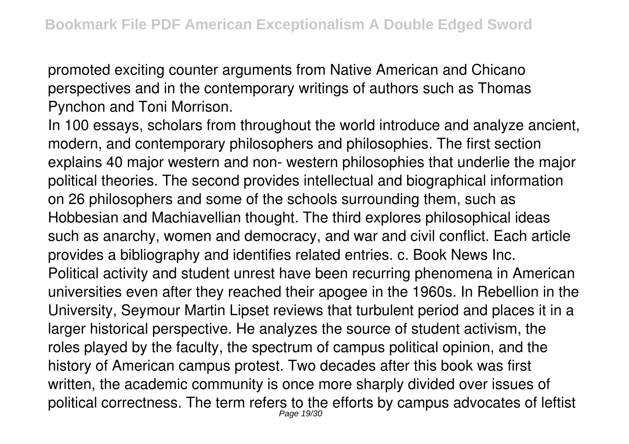promoted exciting counter arguments from Native American and Chicano perspectives and in the contemporary writings of authors such as Thomas Pynchon and Toni Morrison.

In 100 essays, scholars from throughout the world introduce and analyze ancient, modern, and contemporary philosophers and philosophies. The first section explains 40 major western and non- western philosophies that underlie the major political theories. The second provides intellectual and biographical information on 26 philosophers and some of the schools surrounding them, such as Hobbesian and Machiavellian thought. The third explores philosophical ideas such as anarchy, women and democracy, and war and civil conflict. Each article provides a bibliography and identifies related entries. c. Book News Inc. Political activity and student unrest have been recurring phenomena in American universities even after they reached their apogee in the 1960s. In Rebellion in the University, Seymour Martin Lipset reviews that turbulent period and places it in a larger historical perspective. He analyzes the source of student activism, the roles played by the faculty, the spectrum of campus political opinion, and the history of American campus protest. Two decades after this book was first written, the academic community is once more sharply divided over issues of political correctness. The term refers to the efforts by campus advocates of leftist Page 19/30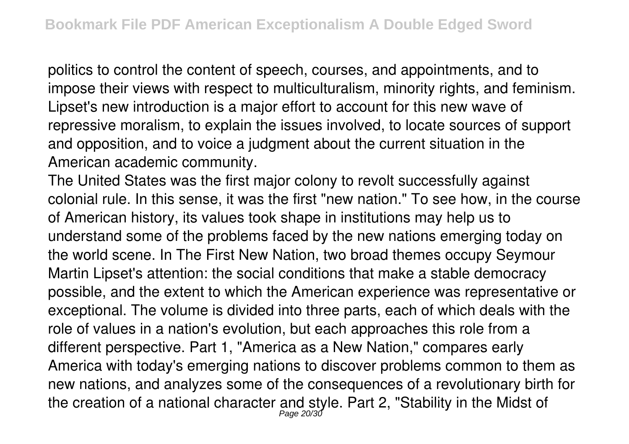politics to control the content of speech, courses, and appointments, and to impose their views with respect to multiculturalism, minority rights, and feminism. Lipset's new introduction is a major effort to account for this new wave of repressive moralism, to explain the issues involved, to locate sources of support and opposition, and to voice a judgment about the current situation in the American academic community.

The United States was the first major colony to revolt successfully against colonial rule. In this sense, it was the first "new nation." To see how, in the course of American history, its values took shape in institutions may help us to understand some of the problems faced by the new nations emerging today on the world scene. In The First New Nation, two broad themes occupy Seymour Martin Lipset's attention: the social conditions that make a stable democracy possible, and the extent to which the American experience was representative or exceptional. The volume is divided into three parts, each of which deals with the role of values in a nation's evolution, but each approaches this role from a different perspective. Part 1, "America as a New Nation," compares early America with today's emerging nations to discover problems common to them as new nations, and analyzes some of the consequences of a revolutionary birth for the creation of a national character and style. Part 2, "Stability in the Midst of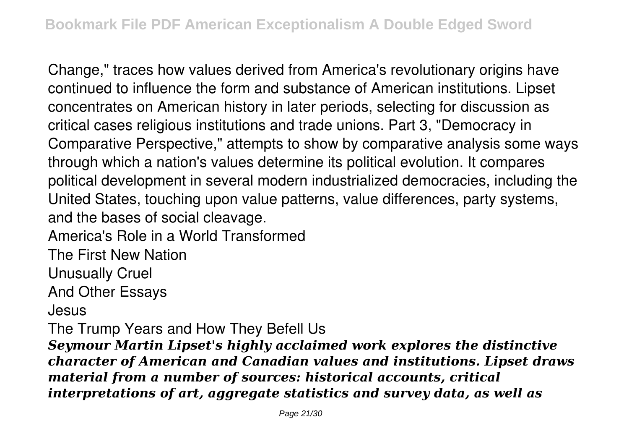Change," traces how values derived from America's revolutionary origins have continued to influence the form and substance of American institutions. Lipset concentrates on American history in later periods, selecting for discussion as critical cases religious institutions and trade unions. Part 3, "Democracy in Comparative Perspective," attempts to show by comparative analysis some ways through which a nation's values determine its political evolution. It compares political development in several modern industrialized democracies, including the United States, touching upon value patterns, value differences, party systems, and the bases of social cleavage.

America's Role in a World Transformed

The First New Nation

Unusually Cruel

And Other Essays

Jesus

The Trump Years and How They Befell Us

*Seymour Martin Lipset's highly acclaimed work explores the distinctive character of American and Canadian values and institutions. Lipset draws material from a number of sources: historical accounts, critical interpretations of art, aggregate statistics and survey data, as well as*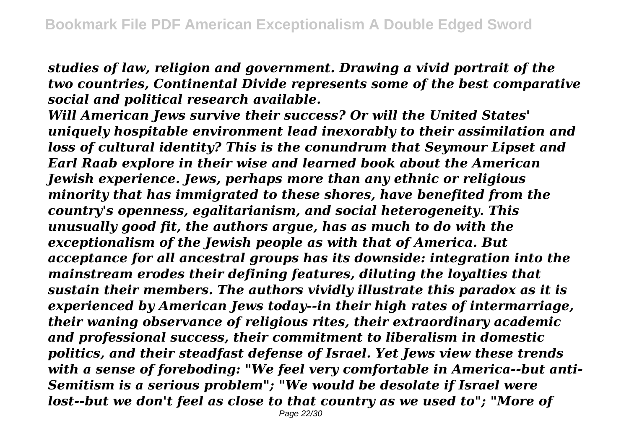*studies of law, religion and government. Drawing a vivid portrait of the two countries, Continental Divide represents some of the best comparative social and political research available.*

*Will American Jews survive their success? Or will the United States' uniquely hospitable environment lead inexorably to their assimilation and loss of cultural identity? This is the conundrum that Seymour Lipset and Earl Raab explore in their wise and learned book about the American Jewish experience. Jews, perhaps more than any ethnic or religious minority that has immigrated to these shores, have benefited from the country's openness, egalitarianism, and social heterogeneity. This unusually good fit, the authors argue, has as much to do with the exceptionalism of the Jewish people as with that of America. But acceptance for all ancestral groups has its downside: integration into the mainstream erodes their defining features, diluting the loyalties that sustain their members. The authors vividly illustrate this paradox as it is experienced by American Jews today--in their high rates of intermarriage, their waning observance of religious rites, their extraordinary academic and professional success, their commitment to liberalism in domestic politics, and their steadfast defense of Israel. Yet Jews view these trends with a sense of foreboding: "We feel very comfortable in America--but anti-Semitism is a serious problem"; "We would be desolate if Israel were lost--but we don't feel as close to that country as we used to"; "More of*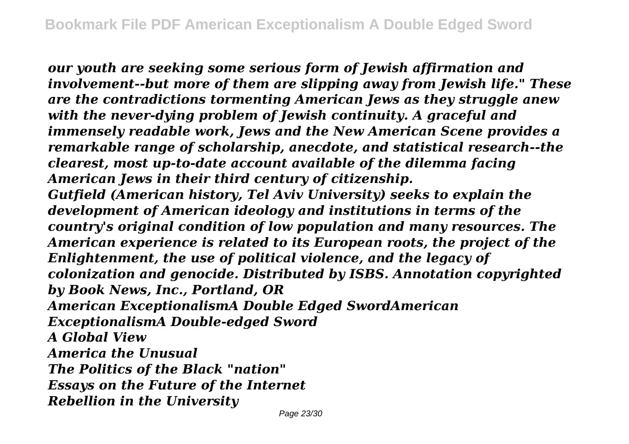*our youth are seeking some serious form of Jewish affirmation and involvement--but more of them are slipping away from Jewish life." These are the contradictions tormenting American Jews as they struggle anew with the never-dying problem of Jewish continuity. A graceful and immensely readable work, Jews and the New American Scene provides a remarkable range of scholarship, anecdote, and statistical research--the clearest, most up-to-date account available of the dilemma facing American Jews in their third century of citizenship. Gutfield (American history, Tel Aviv University) seeks to explain the development of American ideology and institutions in terms of the country's original condition of low population and many resources. The American experience is related to its European roots, the project of the Enlightenment, the use of political violence, and the legacy of colonization and genocide. Distributed by ISBS. Annotation copyrighted by Book News, Inc., Portland, OR American ExceptionalismA Double Edged SwordAmerican ExceptionalismA Double-edged Sword A Global View America the Unusual The Politics of the Black "nation" Essays on the Future of the Internet Rebellion in the University*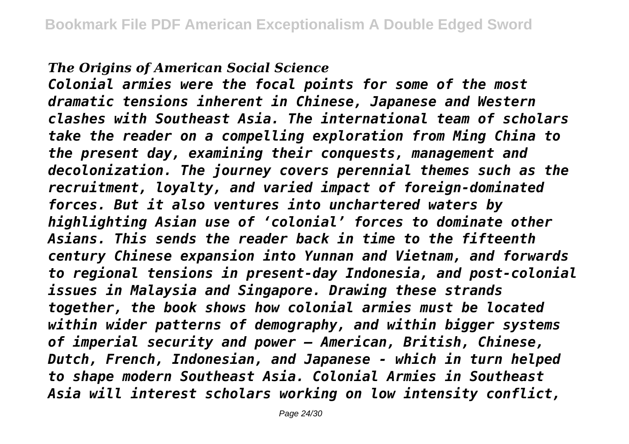### *The Origins of American Social Science*

*Colonial armies were the focal points for some of the most dramatic tensions inherent in Chinese, Japanese and Western clashes with Southeast Asia. The international team of scholars take the reader on a compelling exploration from Ming China to the present day, examining their conquests, management and decolonization. The journey covers perennial themes such as the recruitment, loyalty, and varied impact of foreign-dominated forces. But it also ventures into unchartered waters by highlighting Asian use of 'colonial' forces to dominate other Asians. This sends the reader back in time to the fifteenth century Chinese expansion into Yunnan and Vietnam, and forwards to regional tensions in present-day Indonesia, and post-colonial issues in Malaysia and Singapore. Drawing these strands together, the book shows how colonial armies must be located within wider patterns of demography, and within bigger systems of imperial security and power – American, British, Chinese, Dutch, French, Indonesian, and Japanese - which in turn helped to shape modern Southeast Asia. Colonial Armies in Southeast Asia will interest scholars working on low intensity conflict,*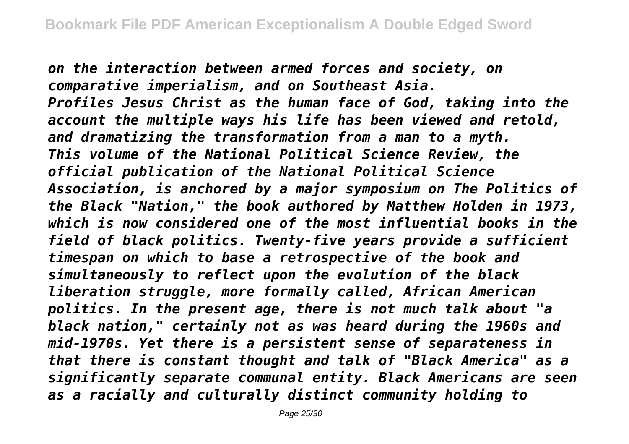*on the interaction between armed forces and society, on comparative imperialism, and on Southeast Asia. Profiles Jesus Christ as the human face of God, taking into the account the multiple ways his life has been viewed and retold, and dramatizing the transformation from a man to a myth. This volume of the National Political Science Review, the official publication of the National Political Science Association, is anchored by a major symposium on The Politics of the Black "Nation," the book authored by Matthew Holden in 1973, which is now considered one of the most influential books in the field of black politics. Twenty-five years provide a sufficient timespan on which to base a retrospective of the book and simultaneously to reflect upon the evolution of the black liberation struggle, more formally called, African American politics. In the present age, there is not much talk about "a black nation," certainly not as was heard during the 1960s and mid-1970s. Yet there is a persistent sense of separateness in that there is constant thought and talk of "Black America" as a significantly separate communal entity. Black Americans are seen as a racially and culturally distinct community holding to*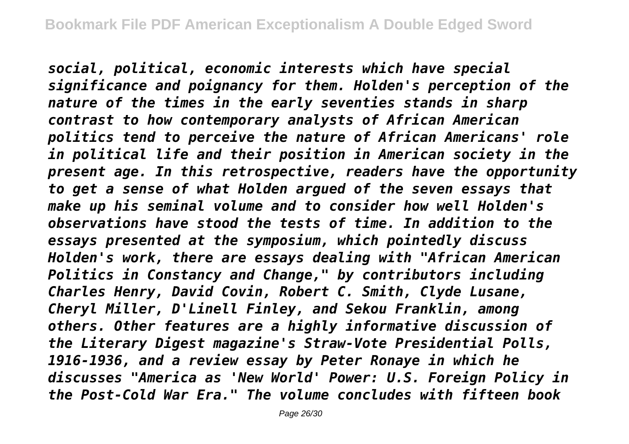*social, political, economic interests which have special significance and poignancy for them. Holden's perception of the nature of the times in the early seventies stands in sharp contrast to how contemporary analysts of African American politics tend to perceive the nature of African Americans' role in political life and their position in American society in the present age. In this retrospective, readers have the opportunity to get a sense of what Holden argued of the seven essays that make up his seminal volume and to consider how well Holden's observations have stood the tests of time. In addition to the essays presented at the symposium, which pointedly discuss Holden's work, there are essays dealing with "African American Politics in Constancy and Change," by contributors including Charles Henry, David Covin, Robert C. Smith, Clyde Lusane, Cheryl Miller, D'Linell Finley, and Sekou Franklin, among others. Other features are a highly informative discussion of the Literary Digest magazine's Straw-Vote Presidential Polls, 1916-1936, and a review essay by Peter Ronaye in which he discusses "America as 'New World' Power: U.S. Foreign Policy in the Post-Cold War Era." The volume concludes with fifteen book*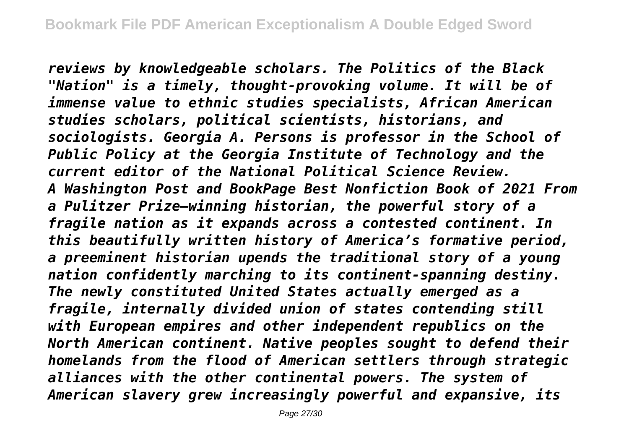*reviews by knowledgeable scholars. The Politics of the Black "Nation" is a timely, thought-provoking volume. It will be of immense value to ethnic studies specialists, African American studies scholars, political scientists, historians, and sociologists. Georgia A. Persons is professor in the School of Public Policy at the Georgia Institute of Technology and the current editor of the National Political Science Review. A Washington Post and BookPage Best Nonfiction Book of 2021 From a Pulitzer Prize–winning historian, the powerful story of a fragile nation as it expands across a contested continent. In this beautifully written history of America's formative period, a preeminent historian upends the traditional story of a young nation confidently marching to its continent-spanning destiny. The newly constituted United States actually emerged as a fragile, internally divided union of states contending still with European empires and other independent republics on the North American continent. Native peoples sought to defend their homelands from the flood of American settlers through strategic alliances with the other continental powers. The system of American slavery grew increasingly powerful and expansive, its*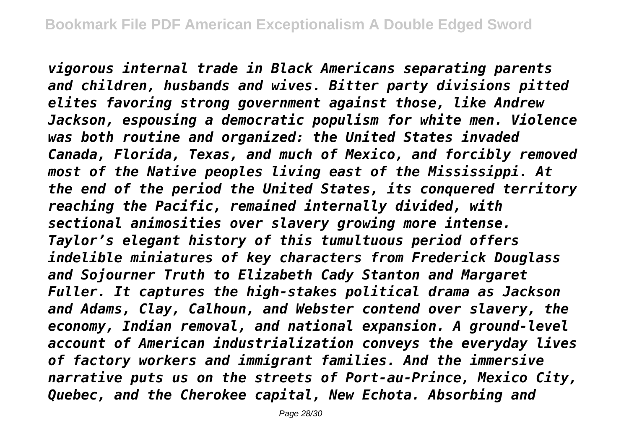*vigorous internal trade in Black Americans separating parents and children, husbands and wives. Bitter party divisions pitted elites favoring strong government against those, like Andrew Jackson, espousing a democratic populism for white men. Violence was both routine and organized: the United States invaded Canada, Florida, Texas, and much of Mexico, and forcibly removed most of the Native peoples living east of the Mississippi. At the end of the period the United States, its conquered territory reaching the Pacific, remained internally divided, with sectional animosities over slavery growing more intense. Taylor's elegant history of this tumultuous period offers indelible miniatures of key characters from Frederick Douglass and Sojourner Truth to Elizabeth Cady Stanton and Margaret Fuller. It captures the high-stakes political drama as Jackson and Adams, Clay, Calhoun, and Webster contend over slavery, the economy, Indian removal, and national expansion. A ground-level account of American industrialization conveys the everyday lives of factory workers and immigrant families. And the immersive narrative puts us on the streets of Port-au-Prince, Mexico City, Quebec, and the Cherokee capital, New Echota. Absorbing and*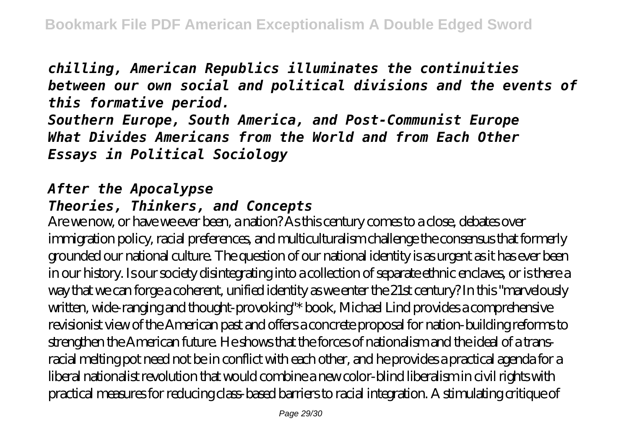*chilling, American Republics illuminates the continuities between our own social and political divisions and the events of this formative period.*

*Southern Europe, South America, and Post-Communist Europe What Divides Americans from the World and from Each Other Essays in Political Sociology*

# *After the Apocalypse*

# *Theories, Thinkers, and Concepts*

Are we now, or have we ever been, a nation? As this century comes to a close, debates over immigration policy, racial preferences, and multiculturalism challenge the consensus that formerly grounded our national culture. The question of our national identity is as urgent as it has ever been in our history. Is our society disintegrating into a collection of separate ethnic enclaves, or is there a way that we can forge a coherent, unified identity as we enter the 21st century? In this "marvelously written, wide-ranging and thought-provoking"\* book, Michael Lind provides a comprehensive revisionist view of the American past and offers a concrete proposal for nation-building reforms to strengthen the American future. He shows that the forces of nationalism and the ideal of a transracial melting pot need not be in conflict with each other, and he provides a practical agenda for a liberal nationalist revolution that would combine a new color-blind liberalism in civil rights with practical measures for reducing class-based barriers to racial integration. A stimulating critique of